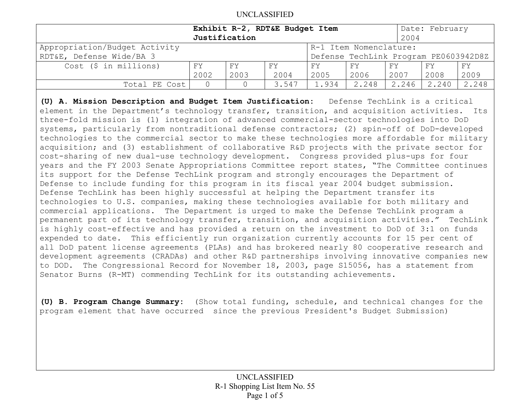|                                                         | Exhibit R-2, RDT&E Budget Item |               |                                       |       |       |       | Date: February |       |
|---------------------------------------------------------|--------------------------------|---------------|---------------------------------------|-------|-------|-------|----------------|-------|
|                                                         |                                | Justification |                                       |       |       | 2004  |                |       |
| Appropriation/Budget Activity<br>R-1 Item Nomenclature: |                                |               |                                       |       |       |       |                |       |
| RDT&E, Defense Wide/BA 3                                |                                |               | Defense TechLink Program PE0603942D8Z |       |       |       |                |       |
| Cost (\$ in millions)                                   | FΥ                             | FΥ            | FY                                    | FY.   | FY    | FY    | FY             | FY    |
|                                                         | 2002                           | 2003          | 2004                                  | 2005  | 2006  | 2007  | 2008           | 2009  |
| Total PE Cost                                           |                                |               | 3.547                                 | 1.934 | 2.248 | 2.246 | 2.240          | 2.248 |
|                                                         |                                |               |                                       |       |       |       |                |       |

**(U) A. Mission Description and Budget Item Justification:** Defense TechLink is a critical element in the Department's technology transfer, transition, and acquisition activities. Its three-fold mission is (1) integration of advanced commercial-sector technologies into DoD systems, particularly from nontraditional defense contractors; (2) spin-off of DoD-developed technologies to the commercial sector to make these technologies more affordable for military acquisition; and (3) establishment of collaborative R&D projects with the private sector for cost-sharing of new dual-use technology development. Congress provided plus-ups for four years and the FY 2003 Senate Appropriations Committee report states, "The Committee continues its support for the Defense TechLink program and strongly encourages the Department of Defense to include funding for this program in its fiscal year 2004 budget submission. Defense TechLink has been highly successful at helping the Department transfer its technologies to U.S. companies, making these technologies available for both military and commercial applications. The Department is urged to make the Defense TechLink program a permanent part of its technology transfer, transition, and acquisition activities." TechLink is highly cost-effective and has provided a return on the investment to DoD of 3:1 on funds expended to date. This efficiently run organization currently accounts for 15 per cent of all DoD patent license agreements (PLAs) and has brokered nearly 80 cooperative research and development agreements (CRADAs) and other R&D partnerships involving innovative companies new to DOD. The Congressional Record for November 18, 2003, page S15056, has a statement from Senator Burns (R-MT) commending TechLink for its outstanding achievements.

**(U) B. Program Change Summary:** (Show total funding, schedule, and technical changes for the program element that have occurred since the previous President's Budget Submission)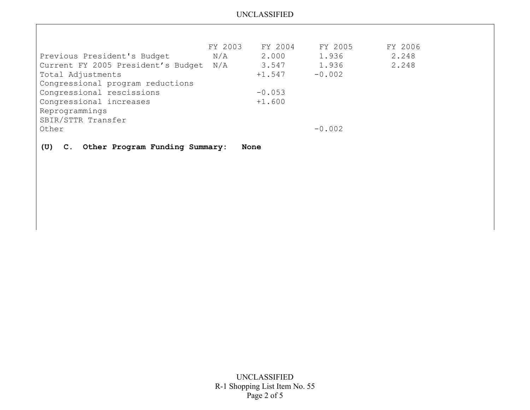|                                    | FY 2003 | FY 2004  | FY 2005  | FY 2006 |
|------------------------------------|---------|----------|----------|---------|
| Previous President's Budget        | N/A     | 2.000    | 1.936    | 2.248   |
| Current FY 2005 President's Budget | N/A     | 3.547    | 1.936    | 2.248   |
| Total Adjustments                  |         | $+1.547$ | $-0.002$ |         |
| Congressional program reductions   |         |          |          |         |
| Congressional rescissions          |         | $-0.053$ |          |         |
| Congressional increases            |         | $+1.600$ |          |         |
| Reprogrammings                     |         |          |          |         |
| SBIR/STTR Transfer                 |         |          |          |         |
| Other                              |         |          | $-0.002$ |         |
|                                    |         |          |          |         |

**(U) C. Other Program Funding Summary: None**

UNCLASSIFIED R-1 Shopping List Item No. 55 Page 2 of 5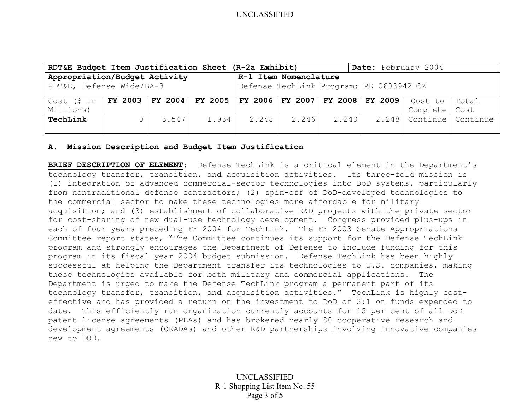| RDT&E Budget Item Justification Sheet (R-2a Exhibit)                              |                                                                     |                 |       |       |       |       | Date: February 2004 |                         |       |
|-----------------------------------------------------------------------------------|---------------------------------------------------------------------|-----------------|-------|-------|-------|-------|---------------------|-------------------------|-------|
| Appropriation/Budget Activity<br>R-1 Item Nomenclature                            |                                                                     |                 |       |       |       |       |                     |                         |       |
|                                                                                   | RDT&E, Defense Wide/BA-3<br>Defense TechLink Program: PE 0603942D8Z |                 |       |       |       |       |                     |                         |       |
| Cost (\$ in   FY 2003   FY 2004   FY 2005   FY 2006   FY 2007   FY 2008   FY 2009 |                                                                     |                 |       |       |       |       |                     | Cost to                 | Total |
| Millions)                                                                         |                                                                     |                 |       |       |       |       |                     | Complete                | Cost  |
| TechLink                                                                          |                                                                     | $3.547$ $\vert$ | 1.934 | 2.248 | 2.246 | 2.240 |                     | 2.248 Continue Continue |       |
|                                                                                   |                                                                     |                 |       |       |       |       |                     |                         |       |

#### **A. Mission Description and Budget Item Justification**

**BRIEF DESCRIPTION OF ELEMENT:** Defense TechLink is a critical element in the Department's technology transfer, transition, and acquisition activities. Its three-fold mission is (1) integration of advanced commercial-sector technologies into DoD systems, particularly from nontraditional defense contractors; (2) spin-off of DoD-developed technologies to the commercial sector to make these technologies more affordable for military acquisition; and (3) establishment of collaborative R&D projects with the private sector for cost-sharing of new dual-use technology development. Congress provided plus-ups in each of four years preceding FY 2004 for TechLink. The FY 2003 Senate Appropriations Committee report states, "The Committee continues its support for the Defense TechLink program and strongly encourages the Department of Defense to include funding for this program in its fiscal year 2004 budget submission. Defense TechLink has been highly successful at helping the Department transfer its technologies to U.S. companies, making these technologies available for both military and commercial applications. The Department is urged to make the Defense TechLink program a permanent part of its technology transfer, transition, and acquisition activities." TechLink is highly costeffective and has provided a return on the investment to DoD of 3:1 on funds expended to date. This efficiently run organization currently accounts for 15 per cent of all DoD patent license agreements (PLAs) and has brokered nearly 80 cooperative research and development agreements (CRADAs) and other R&D partnerships involving innovative companies new to DOD.

> UNCLASSIFIED R-1 Shopping List Item No. 55 Page 3 of 5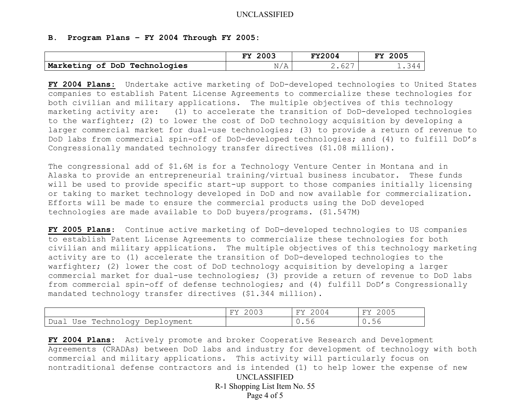### **B. Program Plans – FY 2004 Through FY 2005:**

|                               | 2003<br>πv                  | <b>FY2004</b> | 2005<br>FY   |
|-------------------------------|-----------------------------|---------------|--------------|
| Marketing of DoD Technologies | /7<br>NL<br>$1$ V $\Lambda$ | 2.627         | <b>1.344</b> |

**FY 2004 Plans:** Undertake active marketing of DoD-developed technologies to United States companies to establish Patent License Agreements to commercialize these technologies for both civilian and military applications. The multiple objectives of this technology marketing activity are: (1) to accelerate the transition of DoD-developed technologies to the warfighter; (2) to lower the cost of DoD technology acquisition by developing a larger commercial market for dual-use technologies; (3) to provide a return of revenue to DoD labs from commercial spin-off of DoD-developed technologies; and (4) to fulfill DoD's Congressionally mandated technology transfer directives (\$1.08 million).

The congressional add of \$1.6M is for a Technology Venture Center in Montana and in Alaska to provide an entrepreneurial training/virtual business incubator. These funds will be used to provide specific start-up support to those companies initially licensing or taking to market technology developed in DoD and now available for commercialization. Efforts will be made to ensure the commercial products using the DoD developed technologies are made available to DoD buyers/programs. (\$1.547M)

**FY 2005 Plans**: Continue active marketing of DoD-developed technologies to US companies to establish Patent License Agreements to commercialize these technologies for both civilian and military applications. The multiple objectives of this technology marketing activity are to (1) accelerate the transition of DoD-developed technologies to the warfighter; (2) lower the cost of DoD technology acquisition by developing a larger commercial market for dual-use technologies; (3) provide a return of revenue to DoD labs from commercial spin-off of defense technologies; and (4) fulfill DoD's Congressionally mandated technology transfer directives (\$1.344 million).

|                                          | 2003<br>FY | FY | つののち<br>FY |
|------------------------------------------|------------|----|------------|
| Technology.<br>Dual<br>Deployment<br>Use |            | .  | 56         |

UNCLASSIFIED **FY 2004 Plans:** Actively promote and broker Cooperative Research and Development Agreements (CRADAs) between DoD labs and industry for development of technology with both commercial and military applications. This activity will particularly focus on nontraditional defense contractors and is intended (1) to help lower the expense of new

R-1 Shopping List Item No. 55 Page 4 of 5